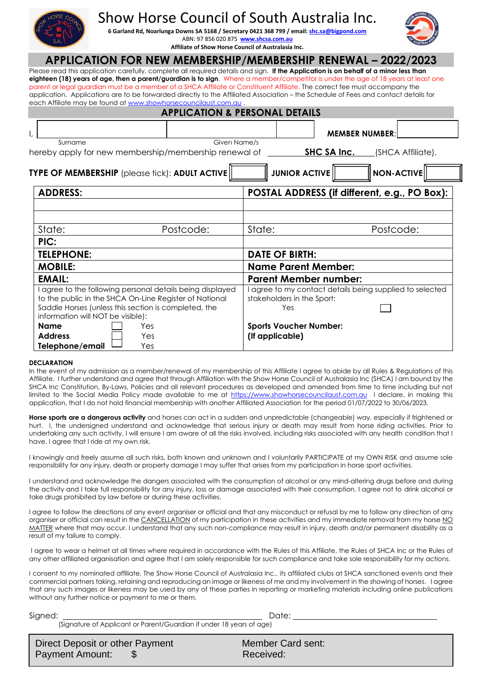# Show Horse Council of South Australia Inc.

**6 Garland Rd, Noarlunga Downs SA 5168 / Secretary 0421 368 799 / email[: shc.sa@bigpond.com](mailto:shc.sa@bigpond.com)** ABN: 97 856 020 875 **[www.shcsa.com.au](http://www.shcsa.com.au/) Affiliate of Show Horse Council of Australasia Inc.**



## **APPLICATION FOR NEW MEMBERSHIP/MEMBERSHIP RENEWAL – 2022/2023**

Please read this application carefully, complete all required details and sign. **If the Application is on behalf of a minor less than eighteen (18) years of age, then a parent/guardian is to sign**. Where a member/competitor is under the age of 18 years at least one parent or legal guardian must be a member of a SHCA Affiliate or Constituent Affiliate. The correct fee must accompany the application. Applications are to be forwarded directly to the Affiliated Association – the Schedule of Fees and contact details for each Affiliate may be found a[t www.showhorsecouncilaust.com.au](http://www.showhorsecouncilaust.com.au/) .

| <b>APPLICATION &amp; PERSONAL DETAILS</b>                                                                                                                                   |                                                                                             |  |  |  |
|-----------------------------------------------------------------------------------------------------------------------------------------------------------------------------|---------------------------------------------------------------------------------------------|--|--|--|
|                                                                                                                                                                             | <b>MEMBER NUMBER:</b>                                                                       |  |  |  |
| Given Name/s<br>Surname                                                                                                                                                     |                                                                                             |  |  |  |
| hereby apply for new membership/membership renewal of                                                                                                                       | SHC SA Inc.<br>(SHCA Affiliate).                                                            |  |  |  |
| <b>JUNIOR ACTIVE</b><br><b>NON-ACTIVE</b><br>TYPE OF MEMBERSHIP (please tick): ADULT ACTIVE                                                                                 |                                                                                             |  |  |  |
| <b>ADDRESS:</b>                                                                                                                                                             | POSTAL ADDRESS (if different, e.g., PO Box):                                                |  |  |  |
|                                                                                                                                                                             |                                                                                             |  |  |  |
|                                                                                                                                                                             |                                                                                             |  |  |  |
| State:<br>Postcode:                                                                                                                                                         | State:<br>Postcode:                                                                         |  |  |  |
| PIC:                                                                                                                                                                        |                                                                                             |  |  |  |
| <b>TELEPHONE:</b>                                                                                                                                                           | <b>DATE OF BIRTH:</b>                                                                       |  |  |  |
| <b>MOBILE:</b>                                                                                                                                                              | <b>Name Parent Member:</b>                                                                  |  |  |  |
| <b>EMAIL:</b>                                                                                                                                                               | <b>Parent Member number:</b>                                                                |  |  |  |
| I agree to the following personal details being displayed<br>to the public in the SHCA On-Line Register of National<br>Saddle Horses (unless this section is completed, the | agree to my contact details being supplied to selected<br>stakeholders in the Sport:<br>Yes |  |  |  |
| information will NOT be visible):<br><b>Name</b><br>Yes                                                                                                                     | <b>Sports Voucher Number:</b>                                                               |  |  |  |
| <b>Address</b><br>Yes                                                                                                                                                       | (If applicable)                                                                             |  |  |  |
| Telephone/email<br>Yes                                                                                                                                                      |                                                                                             |  |  |  |

#### **DECLARATION**

In the event of my admission as a member/renewal of my membership of this Affiliate I agree to abide by all Rules & Regulations of this Affiliate. I further understand and agree that through Affiliation with the Show Horse Council of Australasia Inc (SHCA) I am bound by the SHCA Inc Constitution, By-Laws, Policies and all relevant procedures as developed and amended from time to time including but not limited to the Social Media Policy made available to me at [https://www.showhorsecouncilaust.com.au](https://www.showhorsecouncilaust.com.au/) I declare, in making this application, that I do not hold financial membership with another Affiliated Association for the period 01/07/2022 to 30/06/2023.

**Horse sports are a dangerous activity** and horses can act in a sudden and unpredictable (changeable) way, especially if frightened or hurt. I, the undersigned understand and acknowledge that serious injury or death may result from horse riding activities. Prior to undertaking any such activity, I will ensure I am aware of all the risks involved, including risks associated with any health condition that I have. I agree that I ride at my own risk.

I knowingly and freely assume all such risks, both known and unknown and I voluntarily PARTICIPATE at my OWN RISK and assume sole responsibility for any injury, death or property damage I may suffer that arises from my participation in horse sport activities.

I understand and acknowledge the dangers associated with the consumption of alcohol or any mind-altering drugs before and during the activity and I take full responsibility for any injury, loss or damage associated with their consumption. I agree not to drink alcohol or take drugs prohibited by law before or during these activities.

I agree to follow the directions of any event organiser or official and that any misconduct or refusal by me to follow any direction of any organiser or official can result in the CANCELLATION of my participation in these activities and my immediate removal from my horse NO MATTER where that may occur. I understand that any such non-compliance may result in injury, death and/or permanent disability as a result of my failure to comply.

I agree to wear a helmet at all times where required in accordance with the Rules of this Affiliate, the Rules of SHCA Inc or the Rules of any other affiliated organisation and agree that I am solely responsible for such compliance and take sole responsibility for my actions.

I consent to my nominated affiliate, The Show Horse Council of Australasia Inc., its affiliated clubs at SHCA sanctioned events and their commercial partners taking, retaining and reproducing an image or likeness of me and my involvement in the showing of horses. I agree that any such images or likeness may be used by any of these parties in reporting or marketing materials including online publications without any further notice or payment to me or them.

Signed: Date:

| (Signature of Applicant or Parent/Guardian if under 18 years of age) |  |
|----------------------------------------------------------------------|--|
|                                                                      |  |

| Direct Deposit or other Payment | Member Card sent: |
|---------------------------------|-------------------|
| Payment Amount:                 | Received:         |